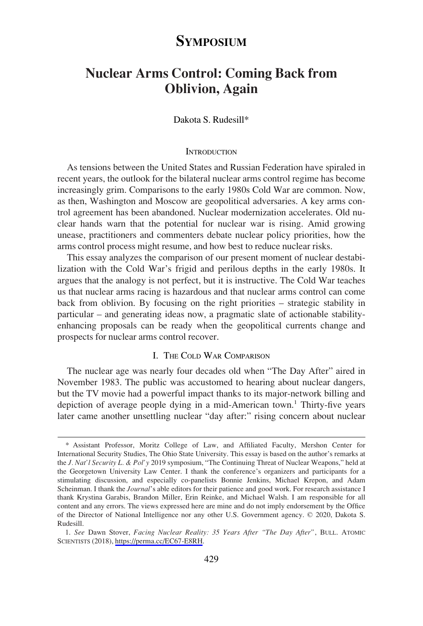# **SYMPOSIUM**

# **Nuclear Arms Control: Coming Back from Oblivion, Again**

# Dakota S. Rudesill\*

#### **INTRODUCTION**

As tensions between the United States and Russian Federation have spiraled in recent years, the outlook for the bilateral nuclear arms control regime has become increasingly grim. Comparisons to the early 1980s Cold War are common. Now, as then, Washington and Moscow are geopolitical adversaries. A key arms control agreement has been abandoned. Nuclear modernization accelerates. Old nuclear hands warn that the potential for nuclear war is rising. Amid growing unease, practitioners and commenters debate nuclear policy priorities, how the arms control process might resume, and how best to reduce nuclear risks.

This essay analyzes the comparison of our present moment of nuclear destabilization with the Cold War's frigid and perilous depths in the early 1980s. It argues that the analogy is not perfect, but it is instructive. The Cold War teaches us that nuclear arms racing is hazardous and that nuclear arms control can come back from oblivion. By focusing on the right priorities – strategic stability in particular – and generating ideas now, a pragmatic slate of actionable stabilityenhancing proposals can be ready when the geopolitical currents change and prospects for nuclear arms control recover.

### I. THE COLD WAR COMPARISON

The nuclear age was nearly four decades old when "The Day After" aired in November 1983. The public was accustomed to hearing about nuclear dangers, but the TV movie had a powerful impact thanks to its major-network billing and depiction of average people dying in a mid-American town.<sup>1</sup> Thirty-five years later came another unsettling nuclear "day after:" rising concern about nuclear

<sup>\*</sup> Assistant Professor, Moritz College of Law, and Affiliated Faculty, Mershon Center for International Security Studies, The Ohio State University. This essay is based on the author's remarks at the *J. Nat'l Security L. & Pol'y* 2019 symposium, "The Continuing Threat of Nuclear Weapons," held at the Georgetown University Law Center. I thank the conference's organizers and participants for a stimulating discussion, and especially co-panelists Bonnie Jenkins, Michael Krepon, and Adam Scheinman. I thank the *Journal*'s able editors for their patience and good work. For research assistance I thank Krystina Garabis, Brandon Miller, Erin Reinke, and Michael Walsh. I am responsible for all content and any errors. The views expressed here are mine and do not imply endorsement by the Office of the Director of National Intelligence nor any other U.S. Government agency. © 2020, Dakota S. Rudesill.

*See* Dawn Stover, *Facing Nuclear Reality: 35 Years After "The Day After"*, BULL. ATOMIC 1. SCIENTISTS (2018), [https://perma.cc/EC67-E8RH.](https://perma.cc/EC67-E8RH)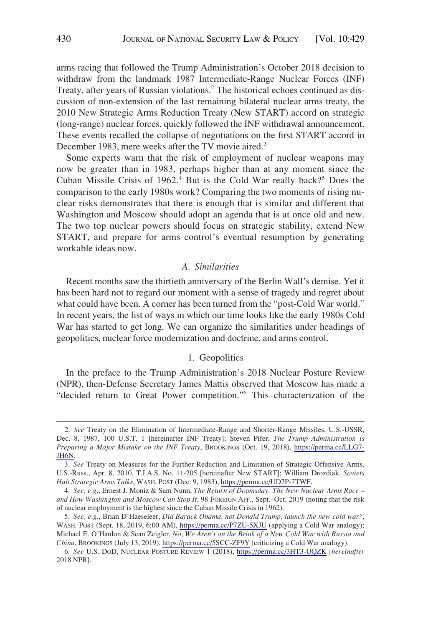arms racing that followed the Trump Administration's October 2018 decision to withdraw from the landmark 1987 Intermediate-Range Nuclear Forces (INF) Treaty, after years of Russian violations.<sup>2</sup> The historical echoes continued as discussion of non-extension of the last remaining bilateral nuclear arms treaty, the 2010 New Strategic Arms Reduction Treaty (New START) accord on strategic (long-range) nuclear forces, quickly followed the INF withdrawal announcement. These events recalled the collapse of negotiations on the first START accord in December 1983, mere weeks after the TV movie aired.<sup>3</sup>

Some experts warn that the risk of employment of nuclear weapons may now be greater than in 1983, perhaps higher than at any moment since the Cuban Missile Crisis of 1962.<sup>4</sup> But is the Cold War really back?<sup>5</sup> Does the comparison to the early 1980s work? Comparing the two moments of rising nuclear risks demonstrates that there is enough that is similar and different that Washington and Moscow should adopt an agenda that is at once old and new. The two top nuclear powers should focus on strategic stability, extend New START, and prepare for arms control's eventual resumption by generating workable ideas now.

#### *A. Similarities*

Recent months saw the thirtieth anniversary of the Berlin Wall's demise. Yet it has been hard not to regard our moment with a sense of tragedy and regret about what could have been. A corner has been turned from the "post-Cold War world." In recent years, the list of ways in which our time looks like the early 1980s Cold War has started to get long. We can organize the similarities under headings of geopolitics, nuclear force modernization and doctrine, and arms control.

## 1. Geopolitics

In the preface to the Trump Administration's 2018 Nuclear Posture Review (NPR), then-Defense Secretary James Mattis observed that Moscow has made a "decided return to Great Power competition."6 This characterization of the

*See* Treaty on the Elimination of Intermediate-Range and Shorter-Range Missiles, U.S.-USSR, 2. Dec. 8, 1987, 100 U.S.T. 1 [hereinafter INF Treaty]; Steven Pifer, *The Trump Administration is Preparing a Major Mistake on the INF Treaty*, BROOKINGS (Oct. 19, 2018), [https://perma.cc/LLG7-](https://perma.cc/LLG7-JH6N)  [JH6N.](https://perma.cc/LLG7-JH6N)

*See* Treaty on Measures for the Further Reduction and Limitation of Strategic Offensive Arms, 3. U.S.-Russ., Apr. 8, 2010, T.I.A.S. No. 11-205 [hereinafter New START]; William Drozdiak, *Soviets Halt Strategic Arms Talks*, WASH. POST (Dec. 9, 1983), <https://perma.cc/UD7P-7TWF>.

<sup>4.</sup> *See, e.g*., Ernest J. Moniz & Sam Nunn, *The Return of Doomsday: The New Nuclear Arms Race – and How Washington and Moscow Can Stop It*, 98 FOREIGN AFF., Sept.–Oct. 2019 (noting that the risk of nuclear employment is the highest since the Cuban Missile Crisis in 1962).

*See, e.g*., Brian D'Haeseleer, *Did Barack Obama, not Donald Trump, launch the new cold war?*, 5. WASH. POST (Sept. 18, 2019, 6:00 AM), <https://perma.cc/P7ZU-5XJU>(applying a Cold War analogy); Michael E. O'Hanlon & Sean Zeigler, *No, We Aren't on the Brink of a New Cold War with Russia and China*, BROOKINGS (July 13, 2019), <https://perma.cc/5SCC-ZF9Y> (criticizing a Cold War analogy).

*See* U.S. DOD, NUCLEAR POSTURE REVIEW 1 (2018), <https://perma.cc/3HT3-UQZK> [*hereinafter*  6. 2018 NPR].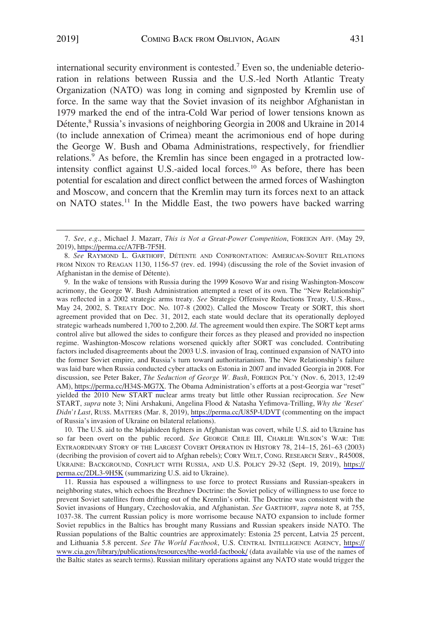international security environment is contested.7 Even so, the undeniable deterioration in relations between Russia and the U.S.-led North Atlantic Treaty Organization (NATO) was long in coming and signposted by Kremlin use of force. In the same way that the Soviet invasion of its neighbor Afghanistan in 1979 marked the end of the intra-Cold War period of lower tensions known as Détente,<sup>8</sup> Russia's invasions of neighboring Georgia in 2008 and Ukraine in 2014 (to include annexation of Crimea) meant the acrimonious end of hope during the George W. Bush and Obama Administrations, respectively, for friendlier relations.<sup>9</sup> As before, the Kremlin has since been engaged in a protracted lowintensity conflict against U.S.-aided local forces.<sup>10</sup> As before, there has been potential for escalation and direct conflict between the armed forces of Washington and Moscow, and concern that the Kremlin may turn its forces next to an attack on NATO states.<sup>11</sup> In the Middle East, the two powers have backed warring

9. In the wake of tensions with Russia during the 1999 Kosovo War and rising Washington-Moscow acrimony, the George W. Bush Administration attempted a reset of its own. The "New Relationship" was reflected in a 2002 strategic arms treaty. *See* Strategic Offensive Reductions Treaty, U.S.-Russ., May 24, 2002, S. TREATY DOC. No. 107-8 (2002). Called the Moscow Treaty or SORT, this short agreement provided that on Dec. 31, 2012, each state would declare that its operationally deployed strategic warheads numbered 1,700 to 2,200. *Id*. The agreement would then expire. The SORT kept arms control alive but allowed the sides to configure their forces as they pleased and provided no inspection regime. Washington-Moscow relations worsened quickly after SORT was concluded. Contributing factors included disagreements about the 2003 U.S. invasion of Iraq, continued expansion of NATO into the former Soviet empire, and Russia's turn toward authoritarianism. The New Relationship's failure was laid bare when Russia conducted cyber attacks on Estonia in 2007 and invaded Georgia in 2008. For discussion, see Peter Baker, *The Seduction of George W. Bush*, FOREIGN POL'Y (Nov. 6, 2013, 12:49 AM), [https://perma.cc/H34S-MG7X.](https://perma.cc/H34S-MG7X) The Obama Administration's efforts at a post-Georgia war "reset" yielded the 2010 New START nuclear arms treaty but little other Russian reciprocation. *See* New START, *supra* note 3; Nini Arshakuni, Angelina Flood & Natasha Yefimova-Trilling, *Why the 'Reset' Didn't Last*, RUSS. MATTERS (Mar. 8, 2019), <https://perma.cc/U85P-UDVT> (commenting on the impact of Russia's invasion of Ukraine on bilateral relations).

10. The U.S. aid to the Mujahideen fighters in Afghanistan was covert, while U.S. aid to Ukraine has so far been overt on the public record. *See* GEORGE CRILE III, CHARLIE WILSON'S WAR: THE EXTRAORDINARY STORY OF THE LARGEST COVERT OPERATION IN HISTORY 78, 214–15, 261–63 (2003) (decribing the provision of covert aid to Afghan rebels); CORY WELT, CONG. RESEARCH SERV., R45008, UKRAINE: BACKGROUND, CONFLICT WITH RUSSIA, AND U.S. POLICY 29-32 (Sept. 19, 2019), [https://](https://perma.cc/2DL3-9H5K)  [perma.cc/2DL3-9H5K](https://perma.cc/2DL3-9H5K) (summarizing U.S. aid to Ukraine).

11. Russia has espoused a willingness to use force to protect Russians and Russian-speakers in neighboring states, which echoes the Brezhnev Doctrine: the Soviet policy of willingness to use force to prevent Soviet satellites from drifting out of the Kremlin's orbit. The Doctrine was consistent with the Soviet invasions of Hungary, Czechoslovakia, and Afghanistan. *See* GARTHOFF, *supra* note 8, at 755, 1037-38. The current Russian policy is more worrisome because NATO expansion to include former Soviet republics in the Baltics has brought many Russians and Russian speakers inside NATO. The Russian populations of the Baltic countries are approximately: Estonia 25 percent, Latvia 25 percent, and Lithuania 5.8 percent. *See The World Factbook*, U.S. CENTRAL INTELLIGENCE AGENCY, [https://](https://www.cia.gov/library/publications/resources/the-world-factbook/)  [www.cia.gov/library/publications/resources/the-world-factbook/](https://www.cia.gov/library/publications/resources/the-world-factbook/) (data available via use of the names of the Baltic states as search terms). Russian military operations against any NATO state would trigger the

*See, e.g*., Michael J. Mazarr, *This is Not a Great-Power Competition*, FOREIGN AFF. (May 29, 7. 2019), [https://perma.cc/A7FB-7F5H.](https://perma.cc/A7FB-7F5H)

<sup>8.</sup> *See* RAYMOND L. GARTHOFF, DE´TENTE AND CONFRONTATION: AMERICAN-SOVIET RELATIONS FROM NIXON TO REAGAN 1130, 1156-57 (rev. ed. 1994) (discussing the role of the Soviet invasion of Afghanistan in the demise of Détente).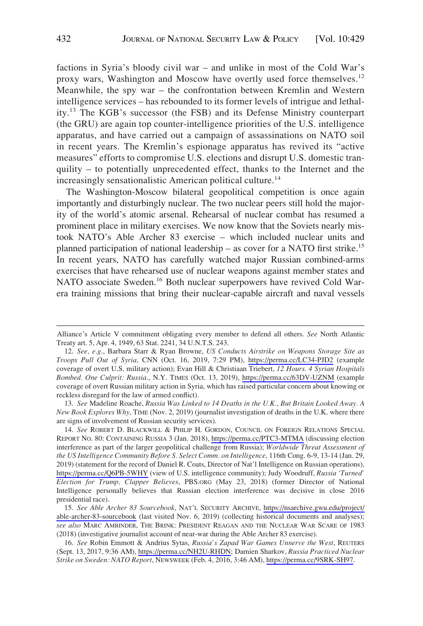factions in Syria's bloody civil war – and unlike in most of the Cold War's proxy wars, Washington and Moscow have overtly used force themselves.<sup>12</sup> Meanwhile, the spy war – the confrontation between Kremlin and Western intelligence services – has rebounded to its former levels of intrigue and lethality.13 The KGB's successor (the FSB) and its Defense Ministry counterpart (the GRU) are again top counter-intelligence priorities of the U.S. intelligence apparatus, and have carried out a campaign of assassinations on NATO soil in recent years. The Kremlin's espionage apparatus has revived its "active measures" efforts to compromise U.S. elections and disrupt U.S. domestic tranquility – to potentially unprecedented effect, thanks to the Internet and the increasingly sensationalistic American political culture.<sup>14</sup>

The Washington-Moscow bilateral geopolitical competition is once again importantly and disturbingly nuclear. The two nuclear peers still hold the majority of the world's atomic arsenal. Rehearsal of nuclear combat has resumed a prominent place in military exercises. We now know that the Soviets nearly mistook NATO's Able Archer 83 exercise – which included nuclear units and planned participation of national leadership – as cover for a NATO first strike.<sup>15</sup> In recent years, NATO has carefully watched major Russian combined-arms exercises that have rehearsed use of nuclear weapons against member states and NATO associate Sweden.<sup>16</sup> Both nuclear superpowers have revived Cold Warera training missions that bring their nuclear-capable aircraft and naval vessels

13. *See* Madeline Roache, *Russia Was Linked to 14 Deaths in the U.K., But Britain Looked Away. A New Book Explores Why*, TIME (Nov. 2, 2019) (journalist investigation of deaths in the U.K. where there are signs of involvement of Russian security services).

14. See ROBERT D. BLACKWILL & PHILIP H. GORDON, COUNCIL ON FOREIGN RELATIONS SPECIAL REPORT NO. 80: CONTAINING RUSSIA 3 (Jan. 2018), <https://perma.cc/PTC3-MTMA> (discussing election interference as part of the larger geopolitical challenge from Russia); *Worldwide Threat Assessment of the US Intelligence Community Before S. Select Comm. on Intelligence*, 116th Cong. 6-9, 13-14 (Jan. 29, 2019) (statement for the record of Daniel R. Coats, Director of Nat'l Intelligence on Russian operations), <https://perma.cc/Q6PB-5WHY> (view of U.S. intelligence community); Judy Woodruff, *Russia 'Turned' Election for Trump, Clapper Believes*, PBS.ORG (May 23, 2018) (former Director of National Intelligence personally believes that Russian election interference was decisive in close 2016 presidential race).

*See Able Archer 83 Sourcebook*, NAT'L SECURITY ARCHIVE, [https://nsarchive.gwu.edu/project/](https://nsarchive.gwu.edu/project/able-archer-83-sourcebook)  15. [able-archer-83-sourcebook](https://nsarchive.gwu.edu/project/able-archer-83-sourcebook) (last visited Nov. 6, 2019) (collecting historical documents and analyses); *see also* MARC AMBINDER, THE BRINK: PRESIDENT REAGAN AND THE NUCLEAR WAR SCARE OF 1983 (2018) (investigative journalist account of near-war during the Able Archer 83 exercise).

*See* Robin Emmott & Andrius Sytas, *Russia's Zapad War Games Unnerve the West*, REUTERS 16. (Sept. 13, 2017, 9:36 AM), <https://perma.cc/NH2U-RHDN>; Damien Sharkov, *Russia Practiced Nuclear Strike on Sweden: NATO Report*, NEWSWEEK (Feb. 4, 2016, 3:46 AM),<https://perma.cc/9SRK-SH97>.

Alliance's Article V commitment obligating every member to defend all others. *See* North Atlantic Treaty art. 5, Apr. 4, 1949, 63 Stat. 2241, 34 U.N.T.S. 243.

*See, e.g*., Barbara Starr & Ryan Browne, *US Conducts Airstrike on Weapons Storage Site as*  12. *Troops Pull Out of Syria*, CNN (Oct. 16, 2019, 7:29 PM), <https://perma.cc/LC34-PJD2> (example coverage of overt U.S. military action); Evan Hill & Christiaan Triebert, *12 Hours. 4 Syrian Hospitals Bombed. One Culprit: Russia*., N.Y. TIMES (Oct. 13, 2019), <https://perma.cc/63DV-UZNM> (example coverage of overt Russian military action in Syria, which has raised particular concern about knowing or reckless disregard for the law of armed conflict).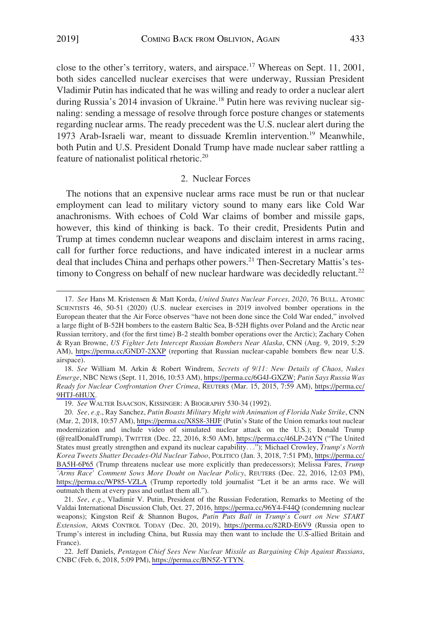close to the other's territory, waters, and airspace.<sup>17</sup> Whereas on Sept. 11, 2001, both sides cancelled nuclear exercises that were underway, Russian President Vladimir Putin has indicated that he was willing and ready to order a nuclear alert during Russia's 2014 invasion of Ukraine.<sup>18</sup> Putin here was reviving nuclear signaling: sending a message of resolve through force posture changes or statements regarding nuclear arms. The ready precedent was the U.S. nuclear alert during the 1973 Arab-Israeli war, meant to dissuade Kremlin intervention.19 Meanwhile, both Putin and U.S. President Donald Trump have made nuclear saber rattling a feature of nationalist political rhetoric.20

#### 2. Nuclear Forces

The notions that an expensive nuclear arms race must be run or that nuclear employment can lead to military victory sound to many ears like Cold War anachronisms. With echoes of Cold War claims of bomber and missile gaps, however, this kind of thinking is back. To their credit, Presidents Putin and Trump at times condemn nuclear weapons and disclaim interest in arms racing, call for further force reductions, and have indicated interest in a nuclear arms deal that includes China and perhaps other powers.<sup>21</sup> Then-Secretary Mattis's testimony to Congress on behalf of new nuclear hardware was decidedly reluctant.<sup>22</sup>

*See* Hans M. Kristensen & Matt Korda, *United States Nuclear Forces, 2020*, 76 BULL. ATOMIC 17. SCIENTISTS 46, 50-51 (2020) (U.S. nuclear exercises in 2019 involved bomber operations in the European theater that the Air Force observes "have not been done since the Cold War ended," involved a large flight of B-52H bombers to the eastern Baltic Sea, B-52H flights over Poland and the Arctic near Russian territory, and (for the first time) B-2 stealth bomber operations over the Arctic); Zachary Cohen & Ryan Browne, *US Fighter Jets Intercept Russian Bombers Near Alaska*, CNN (Aug. 9, 2019, 5:29 AM), <https://perma.cc/GND7-2XXP>(reporting that Russian nuclear-capable bombers flew near U.S. airspace).

*See* William M. Arkin & Robert Windrem, *Secrets of 9/11: New Details of Chaos, Nukes*  18. *Emerge*, NBC NEWS (Sept. 11, 2016, 10:53 AM), [https://perma.cc/6G4J-GXZW;](https://perma.cc/6G4J-GXZW) *Putin Says Russia Was Ready for Nuclear Confrontation Over Crimea*, REUTERS (Mar. 15, 2015, 7:59 AM), [https://perma.cc/](https://perma.cc/9HTJ-6HUX)  [9HTJ-6HUX](https://perma.cc/9HTJ-6HUX).

<sup>19.</sup> *See* WALTER ISAACSON, KISSINGER: A BIOGRAPHY 530-34 (1992).

*See, e.g*., Ray Sanchez, *Putin Boasts Military Might with Animation of Florida Nuke Strike*, CNN 20. (Mar. 2, 2018, 10:57 AM),<https://perma.cc/X8S8-3HJF>(Putin's State of the Union remarks tout nuclear modernization and include video of simulated nuclear attack on the U.S.); Donald Trump (@realDonaldTrump), TWITTER (Dec. 22, 2016, 8:50 AM), <https://perma.cc/46LP-24YN>("The United States must greatly strengthen and expand its nuclear capability. . ."); Michael Crowley, *Trump's North Korea Tweets Shatter Decades-Old Nuclear Taboo*, POLITICO (Jan. 3, 2018, 7:51 PM), [https://perma.cc/](https://perma.cc/BA5H-6P65)  [BA5H-6P65](https://perma.cc/BA5H-6P65) (Trump threatens nuclear use more explicitly than predecessors); Melissa Fares, *Trump 'Arms Race' Comment Sows More Doubt on Nuclear Policy*, REUTERS (Dec. 22, 2016, 12:03 PM), <https://perma.cc/WP85-VZLA>(Trump reportedly told journalist "Let it be an arms race. We will outmatch them at every pass and outlast them all.").

<sup>21.</sup> See, e.g., Vladimir V. Putin, President of the Russian Federation, Remarks to Meeting of the Valdai International Discussion Club, Oct. 27, 2016,<https://perma.cc/96Y4-F44Q>(condemning nuclear weapons); Kingston Reif & Shannon Bugos, *Putin Puts Ball in Trump's Court on New START Extension*, ARMS CONTROL TODAY (Dec. 20, 2019), <https://perma.cc/82RD-E6V9>(Russia open to Trump's interest in including China, but Russia may then want to include the U.S-allied Britain and France).

<sup>22.</sup> Jeff Daniels, Pentagon Chief Sees New Nuclear Missile as Bargaining Chip Against Russians, CNBC (Feb. 6, 2018, 5:09 PM), [https://perma.cc/BN5Z-YTYN.](https://perma.cc/BN5Z-YTYN)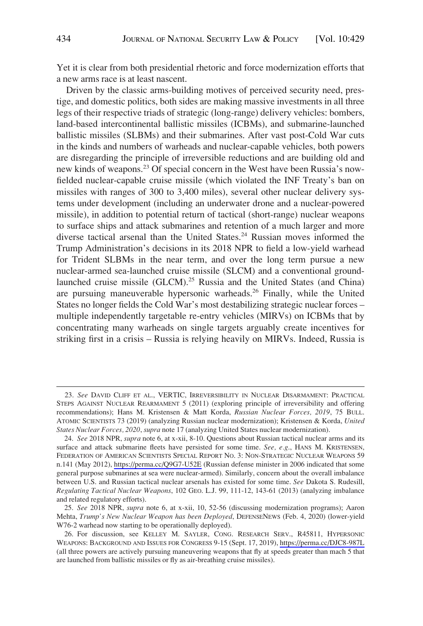Yet it is clear from both presidential rhetoric and force modernization efforts that a new arms race is at least nascent.

Driven by the classic arms-building motives of perceived security need, prestige, and domestic politics, both sides are making massive investments in all three legs of their respective triads of strategic (long-range) delivery vehicles: bombers, land-based intercontinental ballistic missiles (ICBMs), and submarine-launched ballistic missiles (SLBMs) and their submarines. After vast post-Cold War cuts in the kinds and numbers of warheads and nuclear-capable vehicles, both powers are disregarding the principle of irreversible reductions and are building old and new kinds of weapons.23 Of special concern in the West have been Russia's nowfielded nuclear-capable cruise missile (which violated the INF Treaty's ban on missiles with ranges of 300 to 3,400 miles), several other nuclear delivery systems under development (including an underwater drone and a nuclear-powered missile), in addition to potential return of tactical (short-range) nuclear weapons to surface ships and attack submarines and retention of a much larger and more diverse tactical arsenal than the United States.<sup>24</sup> Russian moves informed the Trump Administration's decisions in its 2018 NPR to field a low-yield warhead for Trident SLBMs in the near term, and over the long term pursue a new nuclear-armed sea-launched cruise missile (SLCM) and a conventional groundlaunched cruise missile (GLCM).<sup>25</sup> Russia and the United States (and China) are pursuing maneuverable hypersonic warheads.<sup>26</sup> Finally, while the United States no longer fields the Cold War's most destabilizing strategic nuclear forces – multiple independently targetable re-entry vehicles (MIRVs) on ICBMs that by concentrating many warheads on single targets arguably create incentives for striking first in a crisis – Russia is relying heavily on MIRVs. Indeed, Russia is

<sup>23.</sup> *See* DAVID CLIFF ET AL., VERTIC, IRREVERSIBILITY IN NUCLEAR DISARMAMENT: PRACTICAL STEPS AGAINST NUCLEAR REARMAMENT 5 (2011) (exploring principle of irreversibility and offering recommendations); Hans M. Kristensen & Matt Korda, *Russian Nuclear Forces, 2019*, 75 BULL. ATOMIC SCIENTISTS 73 (2019) (analyzing Russian nuclear modernization); Kristensen & Korda, *United States Nuclear Forces, 2020*, *supra* note 17 (analyzing United States nuclear modernization).

*See* 2018 NPR, *supra* note 6, at x-xii, 8-10. Questions about Russian tactical nuclear arms and its 24. surface and attack submarine fleets have persisted for some time. *See, e.g*., HANS M. KRISTENSEN, FEDERATION OF AMERICAN SCIENTISTS SPECIAL REPORT NO. 3: NON-STRATEGIC NUCLEAR WEAPONS 59 n.141 (May 2012),<https://perma.cc/Q9G7-U52E>(Russian defense minister in 2006 indicated that some general purpose submarines at sea were nuclear-armed). Similarly, concern about the overall imbalance between U.S. and Russian tactical nuclear arsenals has existed for some time. *See* Dakota S. Rudesill, *Regulating Tactical Nuclear Weapons*, 102 GEO. L.J. 99, 111-12, 143-61 (2013) (analyzing imbalance and related regulatory efforts).

<sup>25.</sup> *See* 2018 NPR, *supra* note 6, at x-xii, 10, 52-56 (discussing modernization programs); Aaron Mehta, *Trump's New Nuclear Weapon has been Deployed*, DEFENSENEWS (Feb. 4, 2020) (lower-yield W76-2 warhead now starting to be operationally deployed).

<sup>26.</sup> For discussion, see KELLEY M. SAYLER, CONG. RESEARCH SERV., R45811, HYPERSONIC WEAPONS: BACKGROUND AND ISSUES FOR CONGRESS 9-15 (Sept. 17, 2019), <https://perma.cc/DJC8-987L> (all three powers are actively pursuing maneuvering weapons that fly at speeds greater than mach 5 that are launched from ballistic missiles or fly as air-breathing cruise missiles).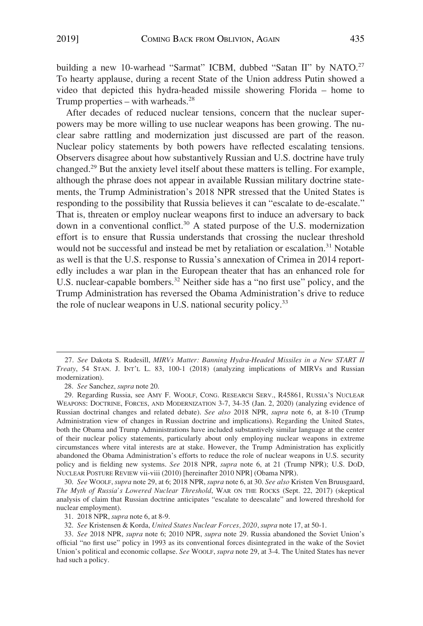building a new 10-warhead "Sarmat" ICBM, dubbed "Satan II" by NATO.<sup>27</sup> To hearty applause, during a recent State of the Union address Putin showed a video that depicted this hydra-headed missile showering Florida – home to Trump properties – with warheads. $^{28}$ 

After decades of reduced nuclear tensions, concern that the nuclear superpowers may be more willing to use nuclear weapons has been growing. The nuclear sabre rattling and modernization just discussed are part of the reason. Nuclear policy statements by both powers have reflected escalating tensions. Observers disagree about how substantively Russian and U.S. doctrine have truly changed.29 But the anxiety level itself about these matters is telling. For example, although the phrase does not appear in available Russian military doctrine statements, the Trump Administration's 2018 NPR stressed that the United States is responding to the possibility that Russia believes it can "escalate to de-escalate." That is, threaten or employ nuclear weapons first to induce an adversary to back down in a conventional conflict.30 A stated purpose of the U.S. modernization effort is to ensure that Russia understands that crossing the nuclear threshold would not be successful and instead be met by retaliation or escalation.<sup>31</sup> Notable as well is that the U.S. response to Russia's annexation of Crimea in 2014 reportedly includes a war plan in the European theater that has an enhanced role for U.S. nuclear-capable bombers.<sup>32</sup> Neither side has a "no first use" policy, and the Trump Administration has reversed the Obama Administration's drive to reduce the role of nuclear weapons in U.S. national security policy.<sup>33</sup>

30. *See* WOOLF, *supra* note 29, at 6; 2018 NPR, *supra* note 6, at 30. *See also* Kristen Ven Bruusgaard, *The Myth of Russia's Lowered Nuclear Threshold*, WAR ON THE ROCKS (Sept. 22, 2017) (skeptical analysis of claim that Russian doctrine anticipates "escalate to deescalate" and lowered threshold for nuclear employment).

<sup>27.</sup> *See* Dakota S. Rudesill, *MIRVs Matter: Banning Hydra-Headed Missiles in a New START II Treaty*, 54 STAN. J. INT'L L. 83, 100-1 (2018) (analyzing implications of MIRVs and Russian modernization).

<sup>28.</sup> *See* Sanchez, *supra* note 20.

<sup>29.</sup> Regarding Russia, see AMY F. WOOLF, CONG. RESEARCH SERV., R45861, RUSSIA'S NUCLEAR WEAPONS: DOCTRINE, FORCES, AND MODERNIZATION 3-7, 34-35 (Jan. 2, 2020) (analyzing evidence of Russian doctrinal changes and related debate). *See also* 2018 NPR, *supra* note 6, at 8-10 (Trump Administration view of changes in Russian doctrine and implications). Regarding the United States, both the Obama and Trump Administrations have included substantively similar language at the center of their nuclear policy statements, particularly about only employing nuclear weapons in extreme circumstances where vital interests are at stake. However, the Trump Administration has explicitly abandoned the Obama Administration's efforts to reduce the role of nuclear weapons in U.S. security policy and is fielding new systems. *See* 2018 NPR, *supra* note 6, at 21 (Trump NPR); U.S. DOD, NUCLEAR POSTURE REVIEW vii-viii (2010) [hereinafter 2010 NPR] (Obama NPR).

<sup>31. 2018</sup> NPR, *supra* note 6, at 8-9.

<sup>32.</sup> *See* Kristensen & Korda, *United States Nuclear Forces, 2020*, *supra* note 17, at 50-1.

<sup>33.</sup> *See* 2018 NPR, *supra* note 6; 2010 NPR, *supra* note 29. Russia abandoned the Soviet Union's official "no first use" policy in 1993 as its conventional forces disintegrated in the wake of the Soviet Union's political and economic collapse. *See* WOOLF, *supra* note 29, at 3-4. The United States has never had such a policy.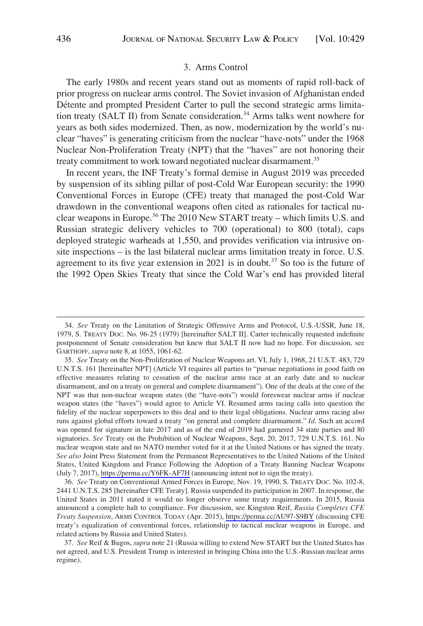#### 3. Arms Control

The early 1980s and recent years stand out as moments of rapid roll-back of prior progress on nuclear arms control. The Soviet invasion of Afghanistan ended Détente and prompted President Carter to pull the second strategic arms limitation treaty (SALT II) from Senate consideration.<sup>34</sup> Arms talks went nowhere for years as both sides modernized. Then, as now, modernization by the world's nuclear "haves" is generating criticism from the nuclear "have-nots" under the 1968 Nuclear Non-Proliferation Treaty (NPT) that the "haves" are not honoring their treaty commitment to work toward negotiated nuclear disarmament.<sup>35</sup>

In recent years, the INF Treaty's formal demise in August 2019 was preceded by suspension of its sibling pillar of post-Cold War European security: the 1990 Conventional Forces in Europe (CFE) treaty that managed the post-Cold War drawdown in the conventional weapons often cited as rationales for tactical nuclear weapons in Europe.<sup>36</sup> The 2010 New START treaty – which limits U.S. and Russian strategic delivery vehicles to 700 (operational) to 800 (total), caps deployed strategic warheads at 1,550, and provides verification via intrusive onsite inspections – is the last bilateral nuclear arms limitation treaty in force. U.S. agreement to its five year extension in 2021 is in doubt.37 So too is the future of the 1992 Open Skies Treaty that since the Cold War's end has provided literal

<sup>34.</sup> *See* Treaty on the Limitation of Strategic Offensive Arms and Protocol, U.S.-USSR, June 18, 1979, S. TREATY DOC. No. 96-25 (1979) [hereinafter SALT II]. Carter technically requested indefinite postponement of Senate consideration but knew that SALT II now had no hope. For discussion, see GARTHOFF, *supra* note 8, at 1055, 1061-62.

*See* Treaty on the Non-Proliferation of Nuclear Weapons art. VI, July 1, 1968, 21 U.S.T. 483, 729 35. U.N.T.S. 161 [hereinafter NPT] (Article VI requires all parties to "pursue negotiations in good faith on effective measures relating to cessation of the nuclear arms race at an early date and to nuclear disarmament, and on a treaty on general and complete disarmament"). One of the deals at the core of the NPT was that non-nuclear weapon states (the "have-nots") would foreswear nuclear arms if nuclear weapon states (the "haves") would agree to Article VI. Resumed arms racing calls into question the fidelity of the nuclear superpowers to this deal and to their legal obligations. Nuclear arms racing also runs against global efforts toward a treaty "on general and complete disarmament." *Id*. Such an accord was opened for signature in late 2017 and as of the end of 2019 had garnered 34 state parties and 80 signatories. *See* Treaty on the Prohibition of Nuclear Weapons, Sept. 20, 2017, 729 U.N.T.S. 161. No nuclear weapon state and no NATO member voted for it at the United Nations or has signed the treaty. *See also* Joint Press Statement from the Permanent Representatives to the United Nations of the United States, United Kingdom and France Following the Adoption of a Treaty Banning Nuclear Weapons (July 7, 2017),<https://perma.cc/Y6FK-AF7H> (announcing intent not to sign the treaty).

*See* Treaty on Conventional Armed Forces in Europe, Nov. 19, 1990, S. TREATY DOC. No. 102-8, 36. 2441 U.N.T.S. 285 [hereinafter CFE Treaty]. Russia suspended its participation in 2007. In response, the United States in 2011 stated it would no longer observe some treaty requirements. In 2015, Russia announced a complete halt to compliance. For discussion, see Kingston Reif, *Russia Completes CFE Treaty Suspension*, ARMS CONTROL TODAY (Apr. 2015),<https://perma.cc/AU97-S9BY>(discussing CFE treaty's equalization of conventional forces, relationship to tactical nuclear weapons in Europe, and related actions by Russia and United States).

<sup>37.</sup> *See* Reif & Bugos, *supra* note 21 (Russia willing to extend New START but the United States has not agreed, and U.S. President Trump is interested in bringing China into the U.S.-Russian nuclear arms regime).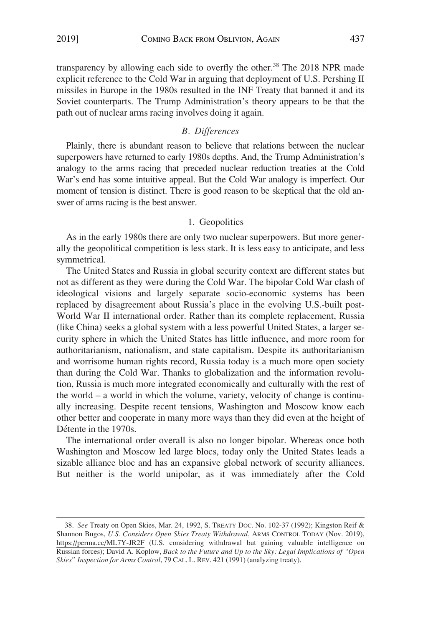transparency by allowing each side to overfly the other.<sup>38</sup> The 2018 NPR made explicit reference to the Cold War in arguing that deployment of U.S. Pershing II missiles in Europe in the 1980s resulted in the INF Treaty that banned it and its Soviet counterparts. The Trump Administration's theory appears to be that the path out of nuclear arms racing involves doing it again.

## *B. Differences*

Plainly, there is abundant reason to believe that relations between the nuclear superpowers have returned to early 1980s depths. And, the Trump Administration's analogy to the arms racing that preceded nuclear reduction treaties at the Cold War's end has some intuitive appeal. But the Cold War analogy is imperfect. Our moment of tension is distinct. There is good reason to be skeptical that the old answer of arms racing is the best answer.

#### 1. Geopolitics

As in the early 1980s there are only two nuclear superpowers. But more generally the geopolitical competition is less stark. It is less easy to anticipate, and less symmetrical.

The United States and Russia in global security context are different states but not as different as they were during the Cold War. The bipolar Cold War clash of ideological visions and largely separate socio-economic systems has been replaced by disagreement about Russia's place in the evolving U.S.-built post-World War II international order. Rather than its complete replacement, Russia (like China) seeks a global system with a less powerful United States, a larger security sphere in which the United States has little influence, and more room for authoritarianism, nationalism, and state capitalism. Despite its authoritarianism and worrisome human rights record, Russia today is a much more open society than during the Cold War. Thanks to globalization and the information revolution, Russia is much more integrated economically and culturally with the rest of the world – a world in which the volume, variety, velocity of change is continually increasing. Despite recent tensions, Washington and Moscow know each other better and cooperate in many more ways than they did even at the height of Détente in the 1970s.

The international order overall is also no longer bipolar. Whereas once both Washington and Moscow led large blocs, today only the United States leads a sizable alliance bloc and has an expansive global network of security alliances. But neither is the world unipolar, as it was immediately after the Cold

*See* Treaty on Open Skies, Mar. 24, 1992, S. TREATY DOC. No. 102-37 (1992); Kingston Reif & 38. Shannon Bugos, *U.S. Considers Open Skies Treaty Withdrawal*, ARMS CONTROL TODAY (Nov. 2019), <https://perma.cc/ML7Y-JR2F>(U.S. considering withdrawal but gaining valuable intelligence on Russian forces); David A. Koplow, *Back to the Future and Up to the Sky: Legal Implications of "Open Skies" Inspection for Arms Control*, 79 CAL. L. REV. 421 (1991) (analyzing treaty).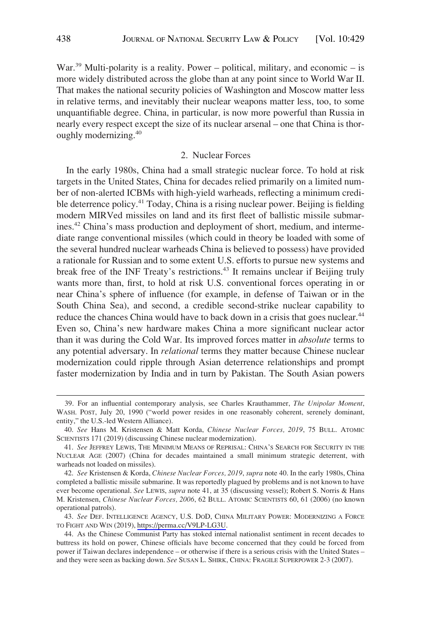War.<sup>39</sup> Multi-polarity is a reality. Power – political, military, and economic – is more widely distributed across the globe than at any point since to World War II. That makes the national security policies of Washington and Moscow matter less in relative terms, and inevitably their nuclear weapons matter less, too, to some unquantifiable degree. China, in particular, is now more powerful than Russia in nearly every respect except the size of its nuclear arsenal – one that China is thoroughly modernizing.40

## 2. Nuclear Forces

In the early 1980s, China had a small strategic nuclear force. To hold at risk targets in the United States, China for decades relied primarily on a limited number of non-alerted ICBMs with high-yield warheads, reflecting a minimum credible deterrence policy.<sup>41</sup> Today, China is a rising nuclear power. Beijing is fielding modern MIRVed missiles on land and its first fleet of ballistic missile submarines.<sup>42</sup> China's mass production and deployment of short, medium, and intermediate range conventional missiles (which could in theory be loaded with some of the several hundred nuclear warheads China is believed to possess) have provided a rationale for Russian and to some extent U.S. efforts to pursue new systems and break free of the INF Treaty's restrictions.<sup>43</sup> It remains unclear if Beijing truly wants more than, first, to hold at risk U.S. conventional forces operating in or near China's sphere of influence (for example, in defense of Taiwan or in the South China Sea), and second, a credible second-strike nuclear capability to reduce the chances China would have to back down in a crisis that goes nuclear.<sup>44</sup> Even so, China's new hardware makes China a more significant nuclear actor than it was during the Cold War. Its improved forces matter in *absolute* terms to any potential adversary. In *relational* terms they matter because Chinese nuclear modernization could ripple through Asian deterrence relationships and prompt faster modernization by India and in turn by Pakistan. The South Asian powers

<sup>39.</sup> For an influential contemporary analysis, see Charles Krauthammer, *The Unipolar Moment*, WASH. POST, July 20, 1990 ("world power resides in one reasonably coherent, serenely dominant, entity," the U.S.-led Western Alliance).

<sup>40.</sup> *See* Hans M. Kristensen & Matt Korda, *Chinese Nuclear Forces, 2019*, 75 BULL. ATOMIC SCIENTISTS 171 (2019) (discussing Chinese nuclear modernization).

<sup>41.</sup> *See* JEFFREY LEWIS, THE MINIMUM MEANS OF REPRISAL: CHINA'S SEARCH FOR SECURITY IN THE NUCLEAR AGE (2007) (China for decades maintained a small minimum strategic deterrent, with warheads not loaded on missiles).

<sup>42.</sup> *See* Kristensen & Korda, *Chinese Nuclear Forces, 2019*, *supra* note 40. In the early 1980s, China completed a ballistic missile submarine. It was reportedly plagued by problems and is not known to have ever become operational. *See* LEWIS, *supra* note 41, at 35 (discussing vessel); Robert S. Norris & Hans M. Kristensen, *Chinese Nuclear Forces, 2006*, 62 BULL. ATOMIC SCIENTISTS 60, 61 (2006) (no known operational patrols).

<sup>43.</sup> See DEF. INTELLIGENCE AGENCY, U.S. DOD, CHINA MILITARY POWER: MODERNIZING A FORCE TO FIGHT AND WIN (2019), [https://perma.cc/V9LP-LG3U.](https://perma.cc/V9LP-LG3U)

<sup>44.</sup> As the Chinese Communist Party has stoked internal nationalist sentiment in recent decades to buttress its hold on power, Chinese officials have become concerned that they could be forced from power if Taiwan declares independence – or otherwise if there is a serious crisis with the United States – and they were seen as backing down. *See* SUSAN L. SHIRK, CHINA: FRAGILE SUPERPOWER 2-3 (2007).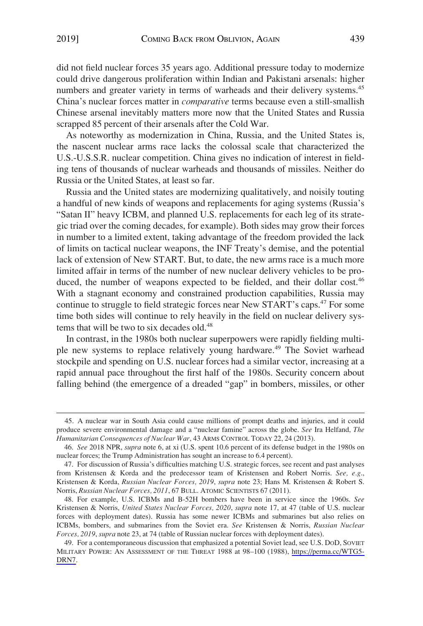did not field nuclear forces 35 years ago. Additional pressure today to modernize could drive dangerous proliferation within Indian and Pakistani arsenals: higher numbers and greater variety in terms of warheads and their delivery systems.<sup>45</sup> China's nuclear forces matter in *comparative* terms because even a still-smallish Chinese arsenal inevitably matters more now that the United States and Russia scrapped 85 percent of their arsenals after the Cold War.

As noteworthy as modernization in China, Russia, and the United States is, the nascent nuclear arms race lacks the colossal scale that characterized the U.S.-U.S.S.R. nuclear competition. China gives no indication of interest in fielding tens of thousands of nuclear warheads and thousands of missiles. Neither do Russia or the United States, at least so far.

Russia and the United states are modernizing qualitatively, and noisily touting a handful of new kinds of weapons and replacements for aging systems (Russia's "Satan II" heavy ICBM, and planned U.S. replacements for each leg of its strategic triad over the coming decades, for example). Both sides may grow their forces in number to a limited extent, taking advantage of the freedom provided the lack of limits on tactical nuclear weapons, the INF Treaty's demise, and the potential lack of extension of New START. But, to date, the new arms race is a much more limited affair in terms of the number of new nuclear delivery vehicles to be produced, the number of weapons expected to be fielded, and their dollar cost.<sup>46</sup> With a stagnant economy and constrained production capabilities, Russia may continue to struggle to field strategic forces near New START's caps.<sup>47</sup> For some time both sides will continue to rely heavily in the field on nuclear delivery systems that will be two to six decades old.<sup>48</sup>

In contrast, in the 1980s both nuclear superpowers were rapidly fielding multiple new systems to replace relatively young hardware.<sup>49</sup> The Soviet warhead stockpile and spending on U.S. nuclear forces had a similar vector, increasing at a rapid annual pace throughout the first half of the 1980s. Security concern about falling behind (the emergence of a dreaded "gap" in bombers, missiles, or other

<sup>45.</sup> A nuclear war in South Asia could cause millions of prompt deaths and injuries, and it could produce severe environmental damage and a "nuclear famine" across the globe. *See* Ira Helfand, *The Humanitarian Consequences of Nuclear War*, 43 ARMS CONTROL TODAY 22, 24 (2013).

<sup>46.</sup> *See* 2018 NPR, *supra* note 6, at xi (U.S. spent 10.6 percent of its defense budget in the 1980s on nuclear forces; the Trump Administration has sought an increase to 6.4 percent).

<sup>47.</sup> For discussion of Russia's difficulties matching U.S. strategic forces, see recent and past analyses from Kristensen & Korda and the predecessor team of Kristensen and Robert Norris. *See, e.g*., Kristensen & Korda, *Russian Nuclear Forces, 2019*, *supra* note 23; Hans M. Kristensen & Robert S. Norris, *Russian Nuclear Forces, 2011*, 67 BULL. ATOMIC SCIENTISTS 67 (2011).

<sup>48.</sup> For example, U.S. ICBMs and B-52H bombers have been in service since the 1960s. *See*  Kristensen & Norris, *United States Nuclear Forces, 2020*, *supra* note 17, at 47 (table of U.S. nuclear forces with deployment dates). Russia has some newer ICBMs and submarines but also relies on ICBMs, bombers, and submarines from the Soviet era. *See* Kristensen & Norris, *Russian Nuclear Forces, 2019*, *supra* note 23, at 74 (table of Russian nuclear forces with deployment dates).

<sup>49.</sup> For a contemporaneous discussion that emphasized a potential Soviet lead, see U.S. DoD, SOVIET MILITARY POWER: AN ASSESSMENT OF THE THREAT 1988 at 98–100 (1988), [https://perma.cc/WTG5-](https://perma.cc/WTG5-DRN7)  [DRN7](https://perma.cc/WTG5-DRN7).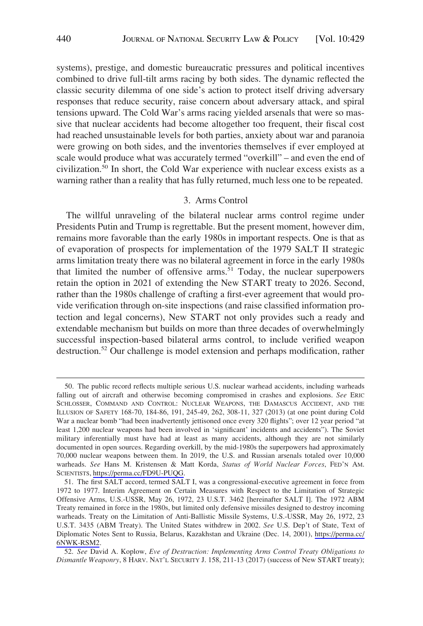systems), prestige, and domestic bureaucratic pressures and political incentives combined to drive full-tilt arms racing by both sides. The dynamic reflected the classic security dilemma of one side's action to protect itself driving adversary responses that reduce security, raise concern about adversary attack, and spiral tensions upward. The Cold War's arms racing yielded arsenals that were so massive that nuclear accidents had become altogether too frequent, their fiscal cost had reached unsustainable levels for both parties, anxiety about war and paranoia were growing on both sides, and the inventories themselves if ever employed at scale would produce what was accurately termed "overkill" – and even the end of civilization.50 In short, the Cold War experience with nuclear excess exists as a warning rather than a reality that has fully returned, much less one to be repeated.

## 3. Arms Control

The willful unraveling of the bilateral nuclear arms control regime under Presidents Putin and Trump is regrettable. But the present moment, however dim, remains more favorable than the early 1980s in important respects. One is that as of evaporation of prospects for implementation of the 1979 SALT II strategic arms limitation treaty there was no bilateral agreement in force in the early 1980s that limited the number of offensive arms.<sup>51</sup> Today, the nuclear superpowers retain the option in 2021 of extending the New START treaty to 2026. Second, rather than the 1980s challenge of crafting a first-ever agreement that would provide verification through on-site inspections (and raise classified information protection and legal concerns), New START not only provides such a ready and extendable mechanism but builds on more than three decades of overwhelmingly successful inspection-based bilateral arms control, to include verified weapon destruction.52 Our challenge is model extension and perhaps modification, rather

<sup>50.</sup> The public record reflects multiple serious U.S. nuclear warhead accidents, including warheads falling out of aircraft and otherwise becoming compromised in crashes and explosions. *See* ERIC SCHLOSSER, COMMAND AND CONTROL: NUCLEAR WEAPONS, THE DAMASCUS ACCIDENT, AND THE ILLUSION OF SAFETY 168-70, 184-86, 191, 245-49, 262, 308-11, 327 (2013) (at one point during Cold War a nuclear bomb "had been inadvertently jettisoned once every 320 flights"; over 12 year period "at least 1,200 nuclear weapons had been involved in 'significant' incidents and accidents"). The Soviet military inferentially must have had at least as many accidents, although they are not similarly documented in open sources. Regarding overkill, by the mid-1980s the superpowers had approximately 70,000 nuclear weapons between them. In 2019, the U.S. and Russian arsenals totaled over 10,000 warheads. *See* Hans M. Kristensen & Matt Korda, *Status of World Nuclear Forces*, FED'N AM. SCIENTISTS, [https://perma.cc/FD9U-PUQG.](https://perma.cc/FD9U-PUQG)

<sup>51.</sup> The first SALT accord, termed SALT I, was a congressional-executive agreement in force from 1972 to 1977. Interim Agreement on Certain Measures with Respect to the Limitation of Strategic Offensive Arms, U.S.-USSR, May 26, 1972, 23 U.S.T. 3462 [hereinafter SALT I]. The 1972 ABM Treaty remained in force in the 1980s, but limited only defensive missiles designed to destroy incoming warheads. Treaty on the Limitation of Anti-Ballistic Missile Systems, U.S.-USSR, May 26, 1972, 23 U.S.T. 3435 (ABM Treaty). The United States withdrew in 2002. *See* U.S. Dep't of State, Text of Diplomatic Notes Sent to Russia, Belarus, Kazakhstan and Ukraine (Dec. 14, 2001), [https://perma.cc/](https://perma.cc/6NWK-RSM2)  [6NWK-RSM2](https://perma.cc/6NWK-RSM2).

<sup>52.</sup> *See* David A. Koplow, *Eve of Destruction: Implementing Arms Control Treaty Obligations to Dismantle Weaponry*, 8 HARV. NAT'L SECURITY J. 158, 211-13 (2017) (success of New START treaty);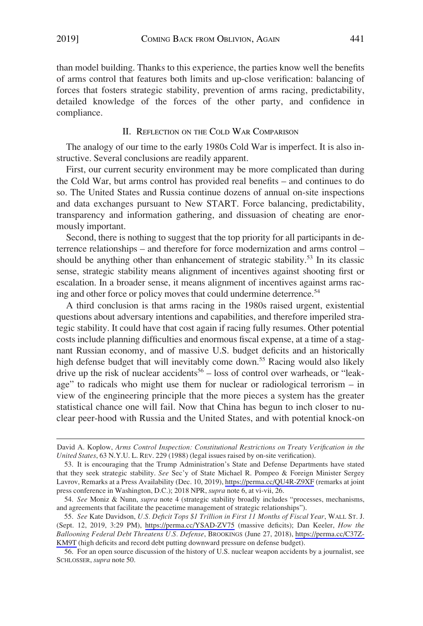than model building. Thanks to this experience, the parties know well the benefits of arms control that features both limits and up-close verification: balancing of forces that fosters strategic stability, prevention of arms racing, predictability, detailed knowledge of the forces of the other party, and confidence in compliance.

#### II. REFLECTION ON THE COLD WAR COMPARISON

The analogy of our time to the early 1980s Cold War is imperfect. It is also instructive. Several conclusions are readily apparent.

First, our current security environment may be more complicated than during the Cold War, but arms control has provided real benefits – and continues to do so. The United States and Russia continue dozens of annual on-site inspections and data exchanges pursuant to New START. Force balancing, predictability, transparency and information gathering, and dissuasion of cheating are enormously important.

Second, there is nothing to suggest that the top priority for all participants in deterrence relationships – and therefore for force modernization and arms control – should be anything other than enhancement of strategic stability.<sup>53</sup> In its classic sense, strategic stability means alignment of incentives against shooting first or escalation. In a broader sense, it means alignment of incentives against arms racing and other force or policy moves that could undermine deterrence.<sup>54</sup>

A third conclusion is that arms racing in the 1980s raised urgent, existential questions about adversary intentions and capabilities, and therefore imperiled strategic stability. It could have that cost again if racing fully resumes. Other potential costs include planning difficulties and enormous fiscal expense, at a time of a stagnant Russian economy, and of massive U.S. budget deficits and an historically high defense budget that will inevitably come down.<sup>55</sup> Racing would also likely drive up the risk of nuclear accidents<sup>56</sup> – loss of control over warheads, or "leakage" to radicals who might use them for nuclear or radiological terrorism – in view of the engineering principle that the more pieces a system has the greater statistical chance one will fail. Now that China has begun to inch closer to nuclear peer-hood with Russia and the United States, and with potential knock-on

David A. Koplow, *Arms Control Inspection: Constitutional Restrictions on Treaty Verification in the United States*, 63 N.Y.U. L. REV. 229 (1988) (legal issues raised by on-site verification).

<sup>53.</sup> It is encouraging that the Trump Administration's State and Defense Departments have stated that they seek strategic stability. *See* Sec'y of State Michael R. Pompeo & Foreign Minister Sergey Lavrov, Remarks at a Press Availability (Dec. 10, 2019),<https://perma.cc/QU4R-Z9XF> (remarks at joint press conference in Washington, D.C.); 2018 NPR, *supra* note 6, at vi-vii, 26.

<sup>54.</sup> *See* Moniz & Nunn, *supra* note 4 (strategic stability broadly includes "processes, mechanisms, and agreements that facilitate the peacetime management of strategic relationships").

*See* Kate Davidson, *U.S. Deficit Tops \$1 Trillion in First 11 Months of Fiscal Year*, WALL ST. J. 55. (Sept. 12, 2019, 3:29 PM), <https://perma.cc/YSAD-ZV75>(massive deficits); Dan Keeler, *How the Ballooning Federal Debt Threatens U.S. Defense*, BROOKINGS (June 27, 2018), [https://perma.cc/C37Z-](https://perma.cc/C37Z-KM9T)[KM9T](https://perma.cc/C37Z-KM9T) (high deficits and record debt putting downward pressure on defense budget).

<sup>56.</sup> For an open source discussion of the history of U.S. nuclear weapon accidents by a journalist, see SCHLOSSER, *supra* note 50.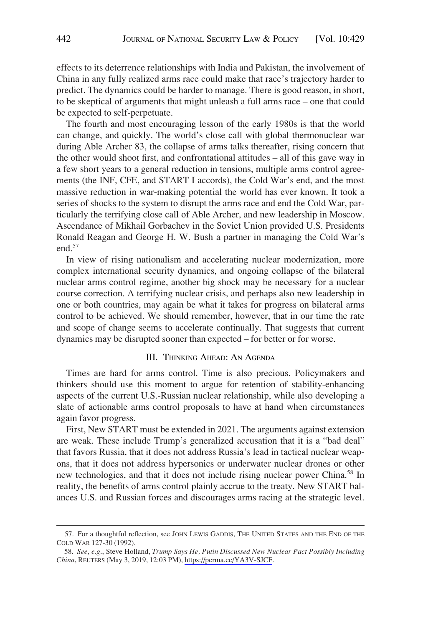effects to its deterrence relationships with India and Pakistan, the involvement of China in any fully realized arms race could make that race's trajectory harder to predict. The dynamics could be harder to manage. There is good reason, in short, to be skeptical of arguments that might unleash a full arms race – one that could be expected to self-perpetuate.

The fourth and most encouraging lesson of the early 1980s is that the world can change, and quickly. The world's close call with global thermonuclear war during Able Archer 83, the collapse of arms talks thereafter, rising concern that the other would shoot first, and confrontational attitudes – all of this gave way in a few short years to a general reduction in tensions, multiple arms control agreements (the INF, CFE, and START I accords), the Cold War's end, and the most massive reduction in war-making potential the world has ever known. It took a series of shocks to the system to disrupt the arms race and end the Cold War, particularly the terrifying close call of Able Archer, and new leadership in Moscow. Ascendance of Mikhail Gorbachev in the Soviet Union provided U.S. Presidents Ronald Reagan and George H. W. Bush a partner in managing the Cold War's end.<sup>57</sup>

In view of rising nationalism and accelerating nuclear modernization, more complex international security dynamics, and ongoing collapse of the bilateral nuclear arms control regime, another big shock may be necessary for a nuclear course correction. A terrifying nuclear crisis, and perhaps also new leadership in one or both countries, may again be what it takes for progress on bilateral arms control to be achieved. We should remember, however, that in our time the rate and scope of change seems to accelerate continually. That suggests that current dynamics may be disrupted sooner than expected – for better or for worse.

# III. THINKING AHEAD: AN AGENDA

Times are hard for arms control. Time is also precious. Policymakers and thinkers should use this moment to argue for retention of stability-enhancing aspects of the current U.S.-Russian nuclear relationship, while also developing a slate of actionable arms control proposals to have at hand when circumstances again favor progress.

First, New START must be extended in 2021. The arguments against extension are weak. These include Trump's generalized accusation that it is a "bad deal" that favors Russia, that it does not address Russia's lead in tactical nuclear weapons, that it does not address hypersonics or underwater nuclear drones or other new technologies, and that it does not include rising nuclear power China.<sup>58</sup> In reality, the benefits of arms control plainly accrue to the treaty. New START balances U.S. and Russian forces and discourages arms racing at the strategic level.

<sup>57.</sup> For a thoughtful reflection, see JOHN LEWIS GADDIS, THE UNITED STATES AND THE END OF THE COLD WAR 127-30 (1992).

*See, e.g*., Steve Holland, *Trump Says He, Putin Discussed New Nuclear Pact Possibly Including*  58. *China*, REUTERS (May 3, 2019, 12:03 PM),<https://perma.cc/YA3V-SJCF>.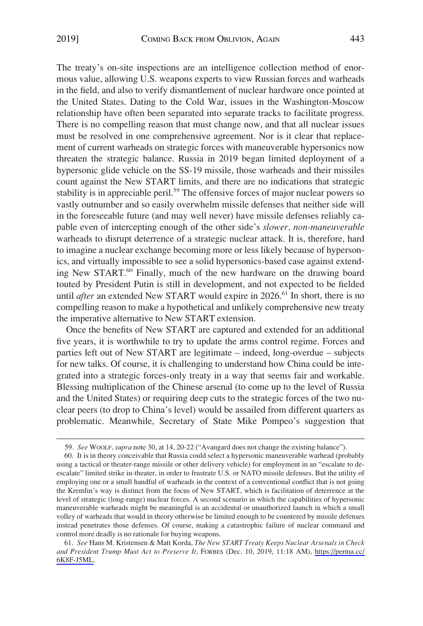The treaty's on-site inspections are an intelligence collection method of enormous value, allowing U.S. weapons experts to view Russian forces and warheads in the field, and also to verify dismantlement of nuclear hardware once pointed at the United States. Dating to the Cold War, issues in the Washington-Moscow relationship have often been separated into separate tracks to facilitate progress. There is no compelling reason that must change now, and that all nuclear issues must be resolved in one comprehensive agreement. Nor is it clear that replacement of current warheads on strategic forces with maneuverable hypersonics now threaten the strategic balance. Russia in 2019 began limited deployment of a hypersonic glide vehicle on the SS-19 missile, those warheads and their missiles count against the New START limits, and there are no indications that strategic stability is in appreciable peril.<sup>59</sup> The offensive forces of major nuclear powers so vastly outnumber and so easily overwhelm missile defenses that neither side will in the foreseeable future (and may well never) have missile defenses reliably capable even of intercepting enough of the other side's *slower, non-maneuverable*  warheads to disrupt deterrence of a strategic nuclear attack. It is, therefore, hard to imagine a nuclear exchange becoming more or less likely because of hypersonics, and virtually impossible to see a solid hypersonics-based case against extending New START.<sup>60</sup> Finally, much of the new hardware on the drawing board touted by President Putin is still in development, and not expected to be fielded until *after* an extended New START would expire in 2026.<sup>61</sup> In short, there is no compelling reason to make a hypothetical and unlikely comprehensive new treaty the imperative alternative to New START extension.

Once the benefits of New START are captured and extended for an additional five years, it is worthwhile to try to update the arms control regime. Forces and parties left out of New START are legitimate – indeed, long-overdue – subjects for new talks. Of course, it is challenging to understand how China could be integrated into a strategic forces-only treaty in a way that seems fair and workable. Blessing multiplication of the Chinese arsenal (to come up to the level of Russia and the United States) or requiring deep cuts to the strategic forces of the two nuclear peers (to drop to China's level) would be assailed from different quarters as problematic. Meanwhile, Secretary of State Mike Pompeo's suggestion that

<sup>59.</sup> *See* WOOLF, *supra* note 30, at 14, 20-22 ("Avangard does not change the existing balance").

<sup>60.</sup> It is in theory conceivable that Russia could select a hypersonic maneuverable warhead (probably using a tactical or theater-range missile or other delivery vehicle) for employment in an "escalate to deescalate" limited strike in-theater, in order to frustrate U.S. or NATO missile defenses. But the utility of employing one or a small handful of warheads in the context of a conventional conflict that is not going the Kremlin's way is distinct from the focus of New START, which is facilitation of deterrence at the level of strategic (long-range) nuclear forces. A second scenario in which the capabilities of hypersonic maneuverable warheads might be meaningful is an accidental or unauthorized launch in which a small volley of warheads that would in theory otherwise be limited enough to be countered by missile defenses instead penetrates those defenses. Of course, making a catastrophic failure of nuclear command and control more deadly is no rationale for buying weapons.

*See* Hans M. Kristensen & Matt Korda, *The New START Treaty Keeps Nuclear Arsenals in Check*  61. *and President Trump Must Act to Preserve It*, FORBES (Dec. 10, 2019, 11:18 AM), [https://perma.cc/](https://perma.cc/6K8F-J5ML)  [6K8F-J5ML](https://perma.cc/6K8F-J5ML).